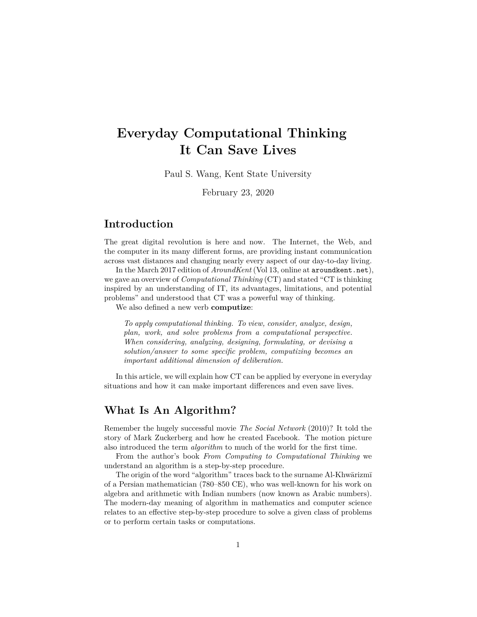# **Everyday Computational Thinking It Can Save Lives**

Paul S. Wang, Kent State University

February 23, 2020

## **Introduction**

The great digital revolution is here and now. The Internet, the Web, and the computer in its many different forms, are providing instant communication across vast distances and changing nearly every aspect of our day-to-day living.

In the March 2017 edition of *AroundKent* (Vol 13, online at aroundkent.net), we gave an overview of *Computational Thinking* (CT) and stated "CT is thinking inspired by an understanding of IT, its advantages, limitations, and potential problems" and understood that CT was a powerful way of thinking.

We also defined a new verb **computize**:

*To apply computational thinking. To view, consider, analyze, design, plan, work, and solve problems from a computational perspective. When considering, analyzing, designing, formulating, or devising a solution/answer to some specific problem, computizing becomes an important additional dimension of deliberation.*

In this article, we will explain how CT can be applied by everyone in everyday situations and how it can make important differences and even save lives.

#### **What Is An Algorithm?**

Remember the hugely successful movie *The Social Network* (2010)? It told the story of Mark Zuckerberg and how he created Facebook. The motion picture also introduced the term *algorithm* to much of the world for the first time.

From the author's book *From Computing to Computational Thinking* we understand an algorithm is a step-by-step procedure.

The origin of the word "algorithm" traces back to the surname Al-Khwārizmī of a Persian mathematician (780–850 CE), who was well-known for his work on algebra and arithmetic with Indian numbers (now known as Arabic numbers). The modern-day meaning of algorithm in mathematics and computer science relates to an effective step-by-step procedure to solve a given class of problems or to perform certain tasks or computations.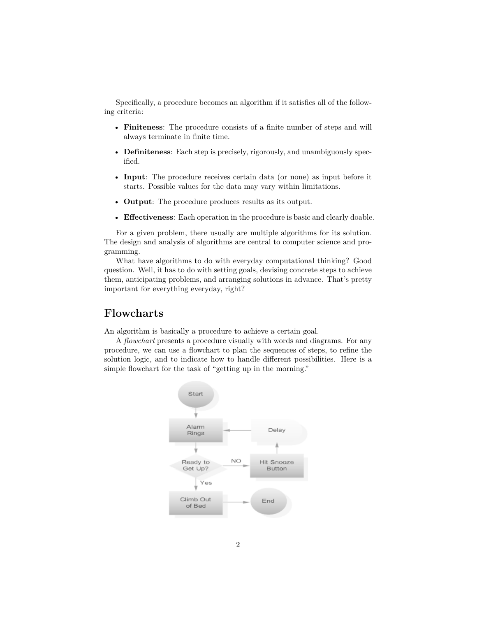Specifically, a procedure becomes an algorithm if it satisfies all of the following criteria:

- **Finiteness**: The procedure consists of a finite number of steps and will always terminate in finite time.
- **Definiteness**: Each step is precisely, rigorously, and unambiguously specified.
- **Input**: The procedure receives certain data (or none) as input before it starts. Possible values for the data may vary within limitations.
- **Output**: The procedure produces results as its output.
- **Effectiveness**: Each operation in the procedure is basic and clearly doable.

For a given problem, there usually are multiple algorithms for its solution. The design and analysis of algorithms are central to computer science and programming.

What have algorithms to do with everyday computational thinking? Good question. Well, it has to do with setting goals, devising concrete steps to achieve them, anticipating problems, and arranging solutions in advance. That's pretty important for everything everyday, right?

#### **Flowcharts**

An algorithm is basically a procedure to achieve a certain goal.

A *flowchart* presents a procedure visually with words and diagrams. For any procedure, we can use a flowchart to plan the sequences of steps, to refine the solution logic, and to indicate how to handle different possibilities. Here is a simple flowchart for the task of "getting up in the morning."

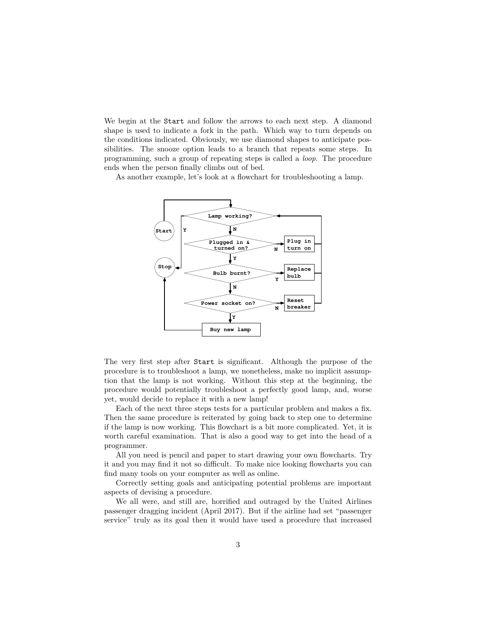We begin at the Start and follow the arrows to each next step. A diamond shape is used to indicate a fork in the path. Which way to turn depends on the conditions indicated. Obviously, we use diamond shapes to anticipate possibilities. The snooze option leads to a branch that repeats some steps. In programming, such a group of repeating steps is called a *loop*. The procedure ends when the person finally climbs out of bed.

As another example, let's look at a flowchart for troubleshooting a lamp.



The very first step after Start is significant. Although the purpose of the procedure is to troubleshoot a lamp, we nonetheless, make no implicit assumption that the lamp is not working. Without this step at the beginning, the procedure would potentially troubleshoot a perfectly good lamp, and, worse yet, would decide to replace it with a new lamp!

Each of the next three steps tests for a particular problem and makes a fix. Then the same procedure is reiterated by going back to step one to determine if the lamp is now working. This flowchart is a bit more complicated. Yet, it is worth careful examination. That is also a good way to get into the head of a programmer.

All you need is pencil and paper to start drawing your own flowcharts. Try it and you may find it not so difficult. To make nice looking flowcharts you can find many tools on your computer as well as online.

Correctly setting goals and anticipating potential problems are important aspects of devising a procedure.

We all were, and still are, horrified and outraged by the United Airlines passenger dragging incident (April 2017). But if the airline had set "passenger service" truly as its goal then it would have used a procedure that increased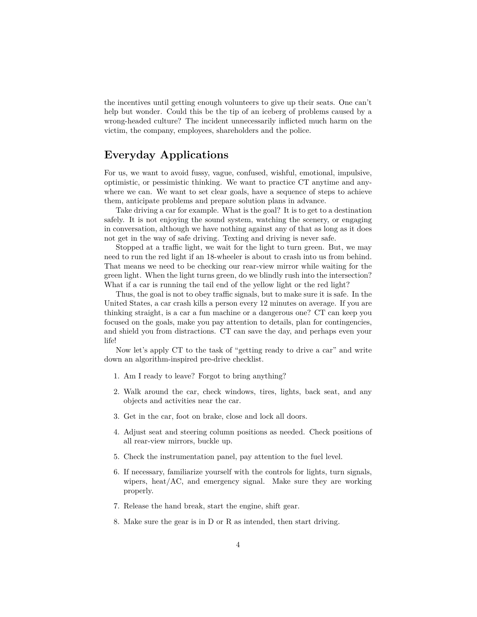the incentives until getting enough volunteers to give up their seats. One can't help but wonder. Could this be the tip of an iceberg of problems caused by a wrong-headed culture? The incident unnecessarily inflicted much harm on the victim, the company, employees, shareholders and the police.

#### **Everyday Applications**

For us, we want to avoid fussy, vague, confused, wishful, emotional, impulsive, optimistic, or pessimistic thinking. We want to practice CT anytime and anywhere we can. We want to set clear goals, have a sequence of steps to achieve them, anticipate problems and prepare solution plans in advance.

Take driving a car for example. What is the goal? It is to get to a destination safely. It is not enjoying the sound system, watching the scenery, or engaging in conversation, although we have nothing against any of that as long as it does not get in the way of safe driving. Texting and driving is never safe.

Stopped at a traffic light, we wait for the light to turn green. But, we may need to run the red light if an 18-wheeler is about to crash into us from behind. That means we need to be checking our rear-view mirror while waiting for the green light. When the light turns green, do we blindly rush into the intersection? What if a car is running the tail end of the yellow light or the red light?

Thus, the goal is not to obey traffic signals, but to make sure it is safe. In the United States, a car crash kills a person every 12 minutes on average. If you are thinking straight, is a car a fun machine or a dangerous one? CT can keep you focused on the goals, make you pay attention to details, plan for contingencies, and shield you from distractions. CT can save the day, and perhaps even your life!

Now let's apply CT to the task of "getting ready to drive a car" and write down an algorithm-inspired pre-drive checklist.

- 1. Am I ready to leave? Forgot to bring anything?
- 2. Walk around the car, check windows, tires, lights, back seat, and any objects and activities near the car.
- 3. Get in the car, foot on brake, close and lock all doors.
- 4. Adjust seat and steering column positions as needed. Check positions of all rear-view mirrors, buckle up.
- 5. Check the instrumentation panel, pay attention to the fuel level.
- 6. If necessary, familiarize yourself with the controls for lights, turn signals, wipers, heat/AC, and emergency signal. Make sure they are working properly.
- 7. Release the hand break, start the engine, shift gear.
- 8. Make sure the gear is in D or R as intended, then start driving.